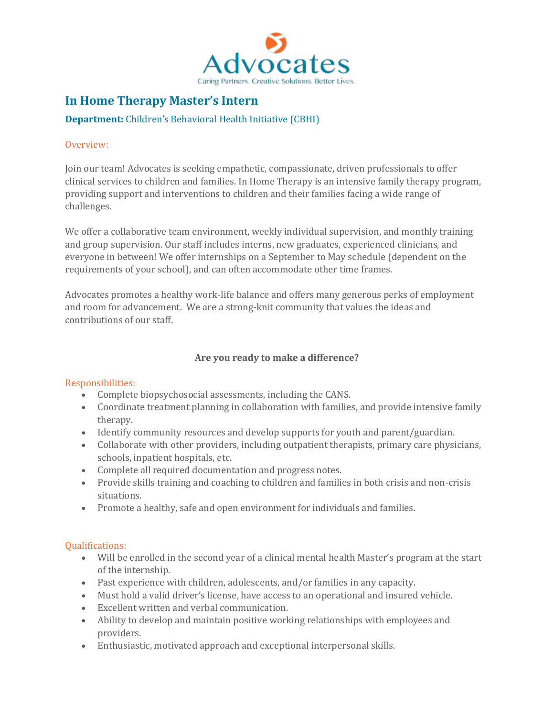

# **In Home Therapy Master's Intern**

## **Department:** Children's Behavioral Health Initiative (CBHI)

### Overview:

Join our team! Advocates is seeking empathetic, compassionate, driven professionals to offer clinical services to children and families. In Home Therapy is an intensive family therapy program, providing support and interventions to children and their families facing a wide range of challenges.

We offer a collaborative team environment, weekly individual supervision, and monthly training and group supervision. Our staff includes interns, new graduates, experienced clinicians, and everyone in between! We offer internships on a September to May schedule (dependent on the requirements of your school), and can often accommodate other time frames.

Advocates promotes a healthy work-life balance and offers many generous perks of employment and room for advancement. We are a strong-knit community that values the ideas and contributions of our staff.

## **Are you ready to make a difference?**

## Responsibilities:

- Complete biopsychosocial assessments, including the CANS.
- Coordinate treatment planning in collaboration with families, and provide intensive family therapy.
- Identify community resources and develop supports for youth and parent/guardian.
- Collaborate with other providers, including outpatient therapists, primary care physicians, schools, inpatient hospitals, etc.
- Complete all required documentation and progress notes.
- Provide skills training and coaching to children and families in both crisis and non-crisis situations.
- Promote a healthy, safe and open environment for individuals and families.

## Qualifications:

- Will be enrolled in the second year of a clinical mental health Master's program at the start of the internship.
- Past experience with children, adolescents, and/or families in any capacity.
- Must hold a valid driver's license, have access to an operational and insured vehicle.
- Excellent written and verbal communication.
- Ability to develop and maintain positive working relationships with employees and providers.
- Enthusiastic, motivated approach and exceptional interpersonal skills.